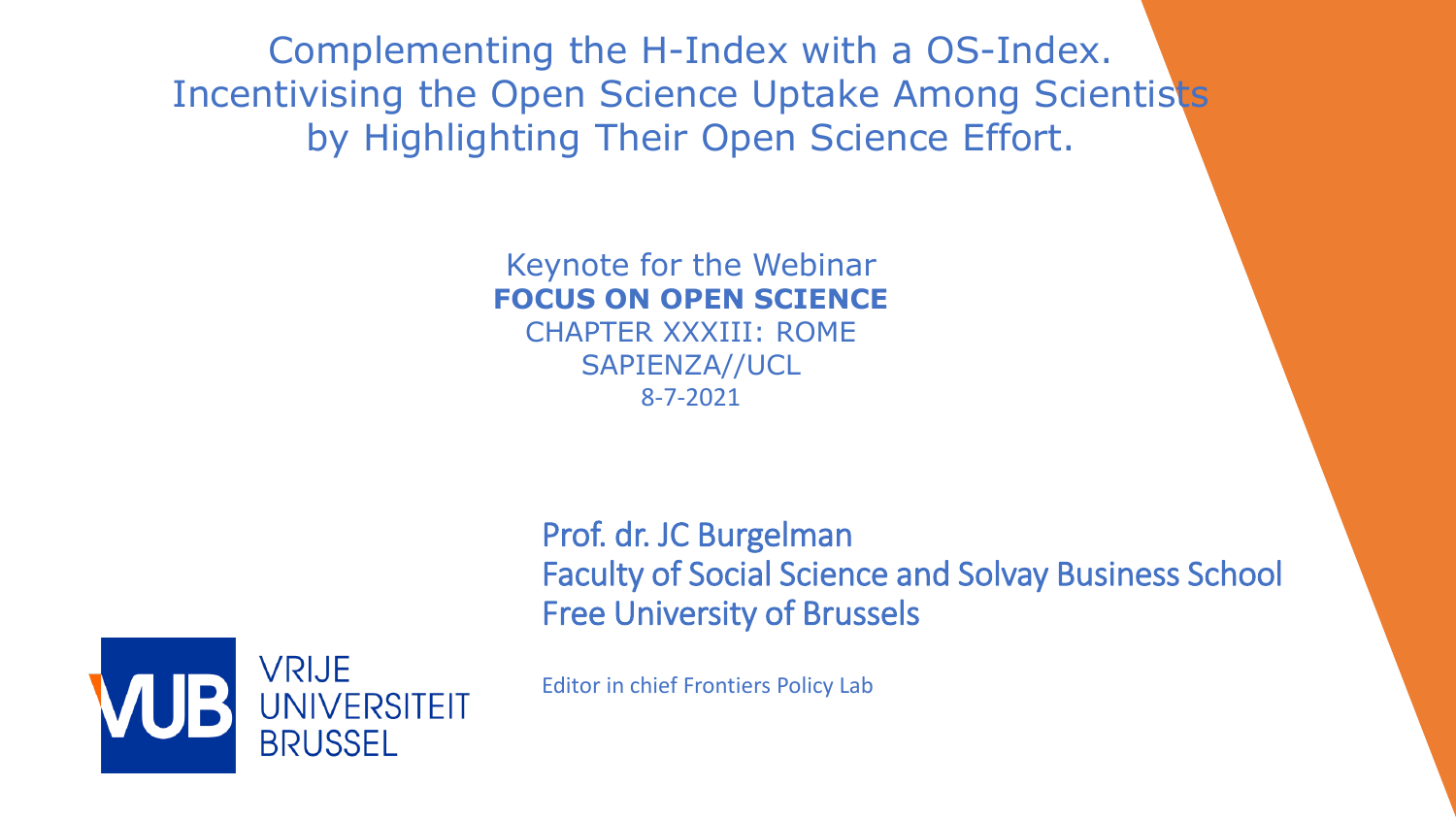Complementing the H-Index with a OS-Index. Incentivising the Open Science Uptake Among Scientists by Highlighting Their Open Science Effort.

> Keynote for the Webinar **FOCUS ON OPEN SCIENCE** CHAPTER XXXIII: ROME SAPIENZA//UCL 8-7-2021

> > Prof. dr. JC Burgelman Faculty of Social Science and Solvay Business School Free University of Brussels



Editor in chief Frontiers Policy Lab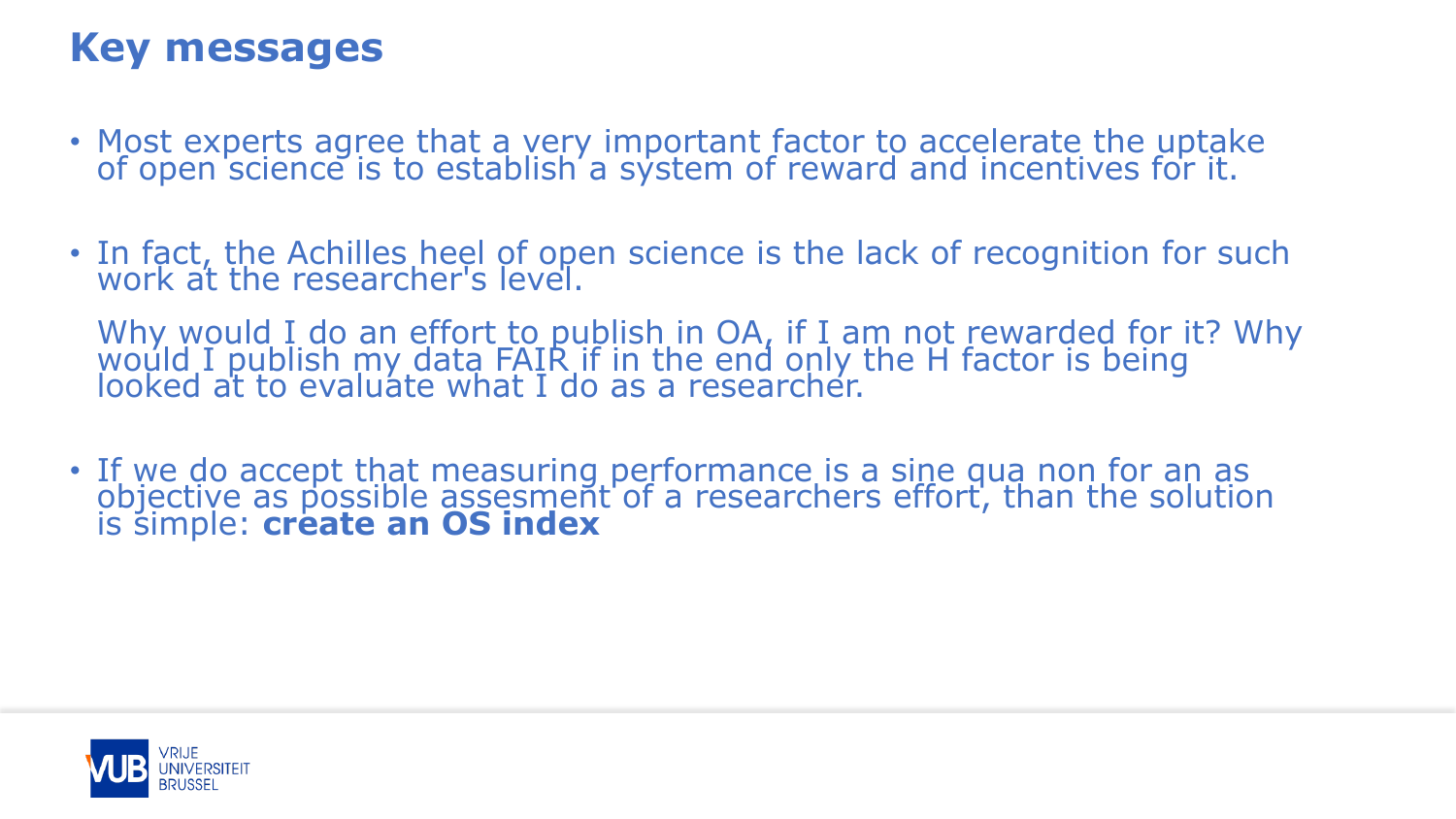## **Key messages**

- Most experts agree that a very important factor to accelerate the uptake of open science is to establish a system of reward and incentives for it.
- In fact, the Achilles heel of open science is the lack of recognition for such work at the researcher's level.

Why would I do an effort to publish in OA, if I am not rewarded for it? Why would I publish my data FAIR if in the end only the H factor is being looked at to evaluate what I do as a researcher.

• If we do accept that measuring performance is a sine qua non for an as objective as possible assesment of a researchers effort, than the solution is simple: **create an OS index**

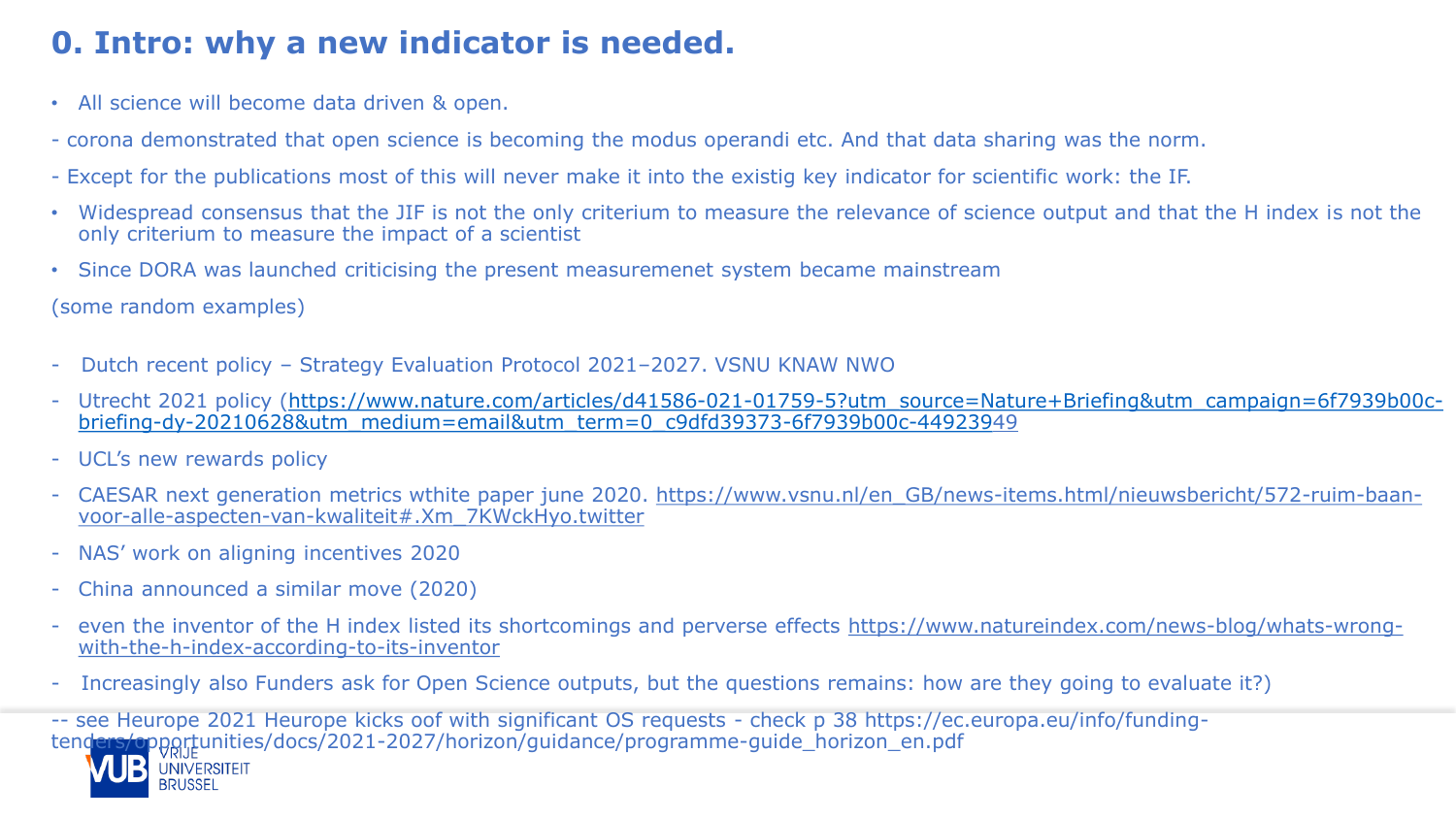## **0. Intro: why a new indicator is needed.**

- All science will become data driven & open.
- corona demonstrated that open science is becoming the modus operandi etc. And that data sharing was the norm.
- Except for the publications most of this will never make it into the existig key indicator for scientific work: the IF.
- Widespread consensus that the JIF is not the only criterium to measure the relevance of science output and that the H index is not the only criterium to measure the impact of a scientist
- Since DORA was launched criticising the present measuremenet system became mainstream

(some random examples)

- Dutch recent policy Strategy Evaluation Protocol 2021–2027. VSNU KNAW NWO
- [Utrecht 2021 policy \(https://www.nature.com/articles/d41586-021-01759-5?utm\\_source=Nature+Briefing&utm\\_campaign=6f7939b00c](https://www.nature.com/articles/d41586-021-01759-5?utm_source=Nature+Briefing&utm_campaign=6f7939b00c-briefing-dy-20210628&utm_medium=email&utm_term=0_c9dfd39373-6f7939b00c-44923949)briefing-dy-20210628&utm\_medium=email&utm\_term=0\_c9dfd39373-6f7939b00c-44923949
- UCL's new rewards policy
- [CAESAR next generation metrics wthite paper june 2020. https://www.vsnu.nl/en\\_GB/news-items.html/nieuwsbericht/572-ruim-baan](https://www.vsnu.nl/en_GB/news-items.html/nieuwsbericht/572-ruim-baan-voor-alle-aspecten-van-kwaliteit#.Xm_7KWckHyo.twitter)voor-alle-aspecten-van-kwaliteit#.Xm\_7KWckHyo.twitter
- NAS' work on aligning incentives 2020
- China announced a similar move (2020)
- [even the inventor of the H index listed its shortcomings and perverse effects https://www.natureindex.com/news-blog/whats-wrong](https://www.natureindex.com/news-blog/whats-wrong-with-the-h-index-according-to-its-inventor)with-the-h-index-according-to-its-inventor
- Increasingly also Funders ask for Open Science outputs, but the questions remains: how are they going to evaluate it?)

-- see Heurope 2021 Heurope kicks oof with significant OS requests - check p 38 https://ec.europa.eu/info/fundingtenders/opportunities/docs/2021-2027/horizon/guidance/programme-guide\_horizon\_en.pdf

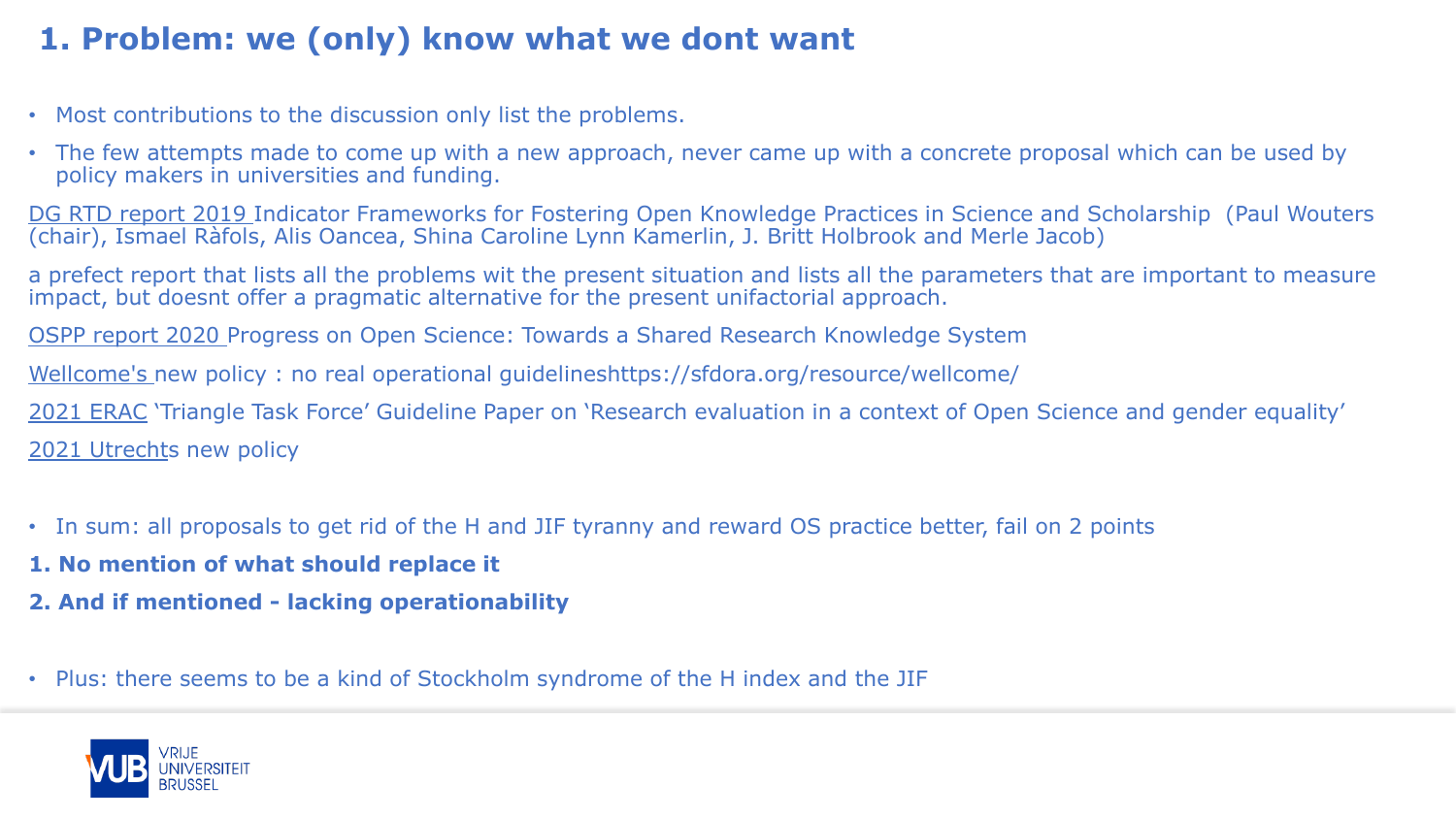## **1. Problem: we (only) know what we dont want**

- Most contributions to the discussion only list the problems.
- The few attempts made to come up with a new approach, never came up with a concrete proposal which can be used by policy makers in universities and funding.

DG RTD report 2019 Indicator Frameworks for Fostering Open Knowledge Practices in Science and Scholarship (Paul Wouters (chair), Ismael Ràfols, Alis Oancea, Shina Caroline Lynn Kamerlin, J. Britt Holbrook and Merle Jacob)

a prefect report that lists all the problems wit the present situation and lists all the parameters that are important to measure impact, but doesnt offer a pragmatic alternative for the present unifactorial approach.

OSPP report 2020 Progress on Open Science: Towards a Shared Research Knowledge System

Wellcome's new policy : no real operational guidelineshttps://sfdora.org/resource/wellcome/

2021 ERAC 'Triangle Task Force' Guideline Paper on 'Research evaluation in a context of Open Science and gender equality' 2021 Utrechts new policy

- In sum: all proposals to get rid of the H and JIF tyranny and reward OS practice better, fail on 2 points
- **1. No mention of what should replace it**
- **2. And if mentioned - lacking operationability**

• Plus: there seems to be a kind of Stockholm syndrome of the H index and the JIF

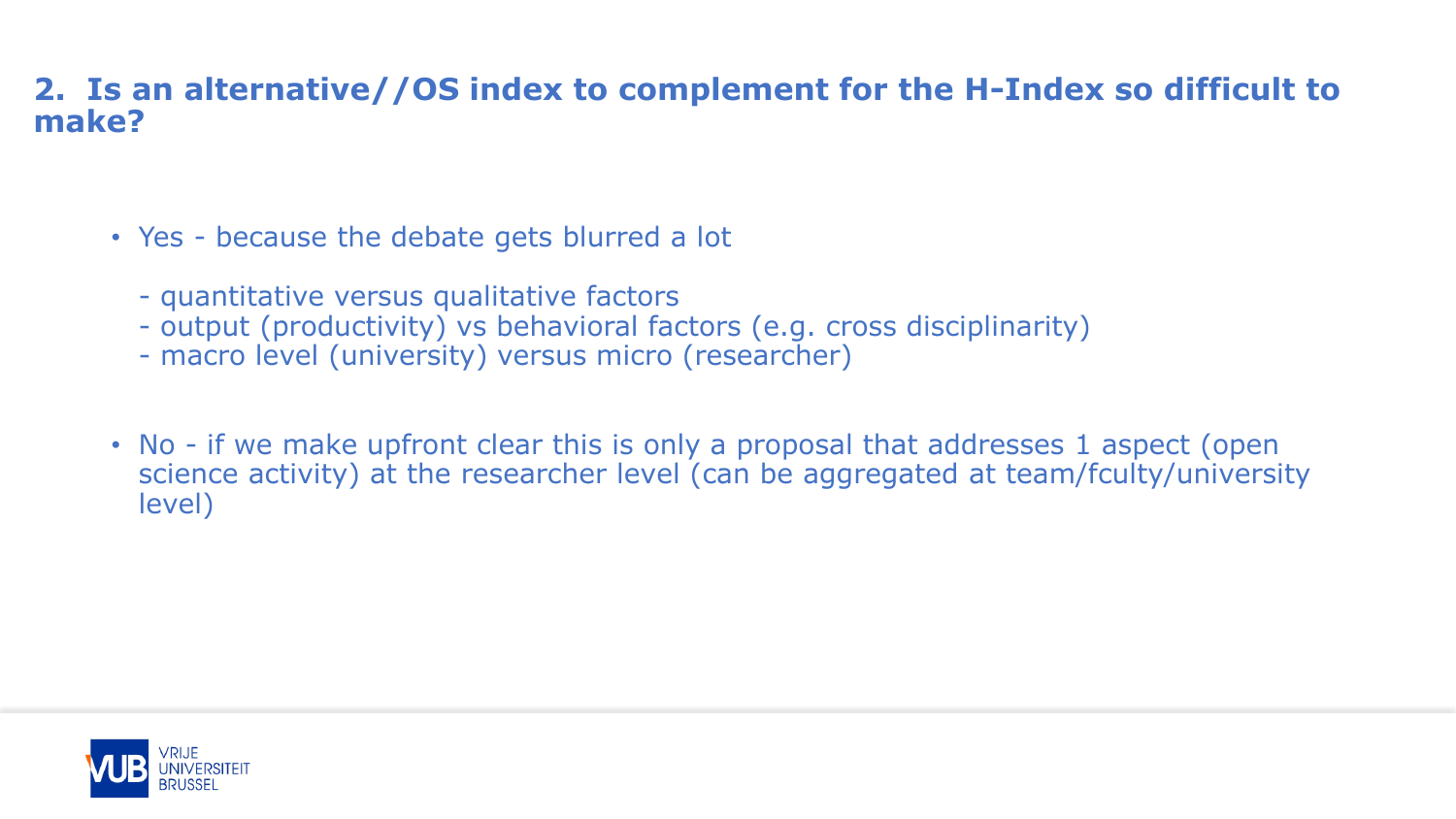### **2. Is an alternative//OS index to complement for the H-Index so difficult to make?**

- Yes because the debate gets blurred a lot
	- quantitative versus qualitative factors
	- output (productivity) vs behavioral factors (e.g. cross disciplinarity)
	- macro level (university) versus micro (researcher)
- No if we make upfront clear this is only a proposal that addresses 1 aspect (open science activity) at the researcher level (can be aggregated at team/fculty/university level)

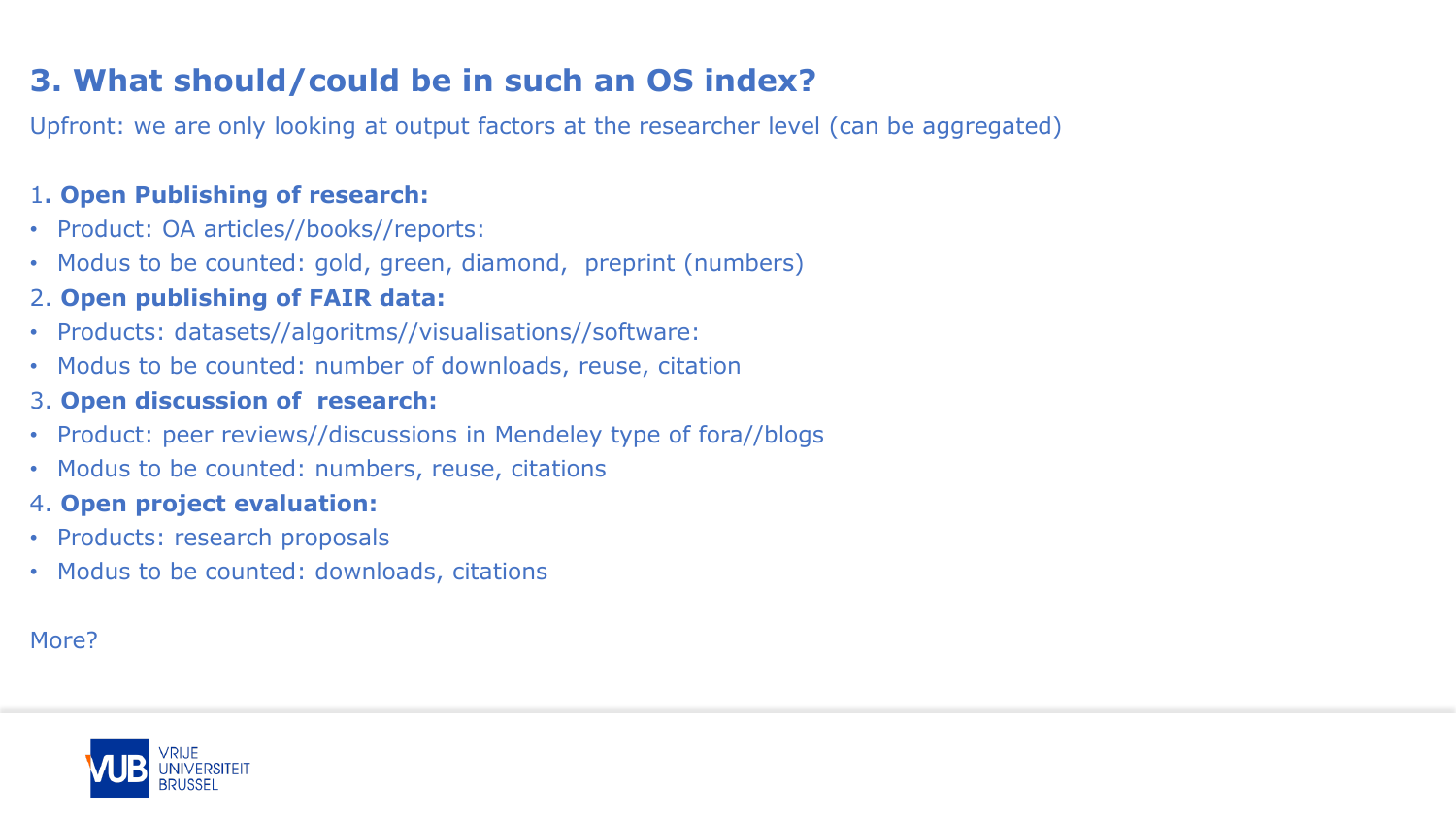## **3. What should/could be in such an OS index?**

Upfront: we are only looking at output factors at the researcher level (can be aggregated)

#### 1**. Open Publishing of research:**

- Product: OA articles//books//reports:
- Modus to be counted: gold, green, diamond, preprint (numbers)
- 2. **Open publishing of FAIR data:**
- Products: datasets//algoritms//visualisations//software:
- Modus to be counted: number of downloads, reuse, citation
- 3. **Open discussion of research:**
- Product: peer reviews//discussions in Mendeley type of fora//blogs
- Modus to be counted: numbers, reuse, citations

#### 4. **Open project evaluation:**

- Products: research proposals
- Modus to be counted: downloads, citations

#### More?

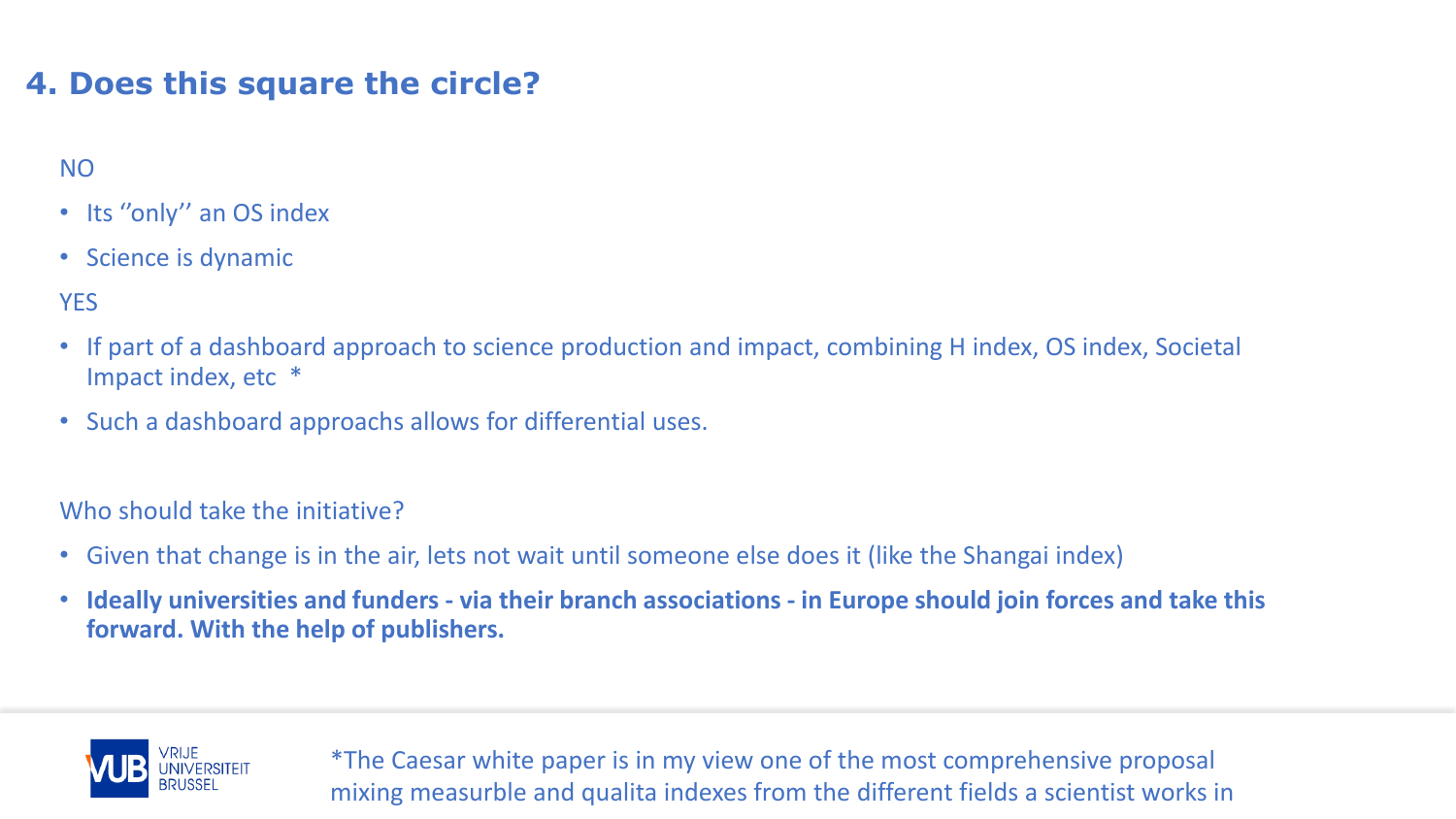## **4. Does this square the circle?**

### NO

- Its "only" an OS index
- Science is dynamic

#### **YES**

- If part of a dashboard approach to science production and impact, combining H index, OS index, Societal Impact index, etc \*
- Such a dashboard approachs allows for differential uses.

#### Who should take the initiative?

- Given that change is in the air, lets not wait until someone else does it (like the Shangai index)
- **Ideally universities and funders - via their branch associations - in Europe should join forces and take this forward. With the help of publishers.**



\*The Caesar white paper is in my view one of the most comprehensive proposal mixing measurble and qualita indexes from the different fields a scientist works in